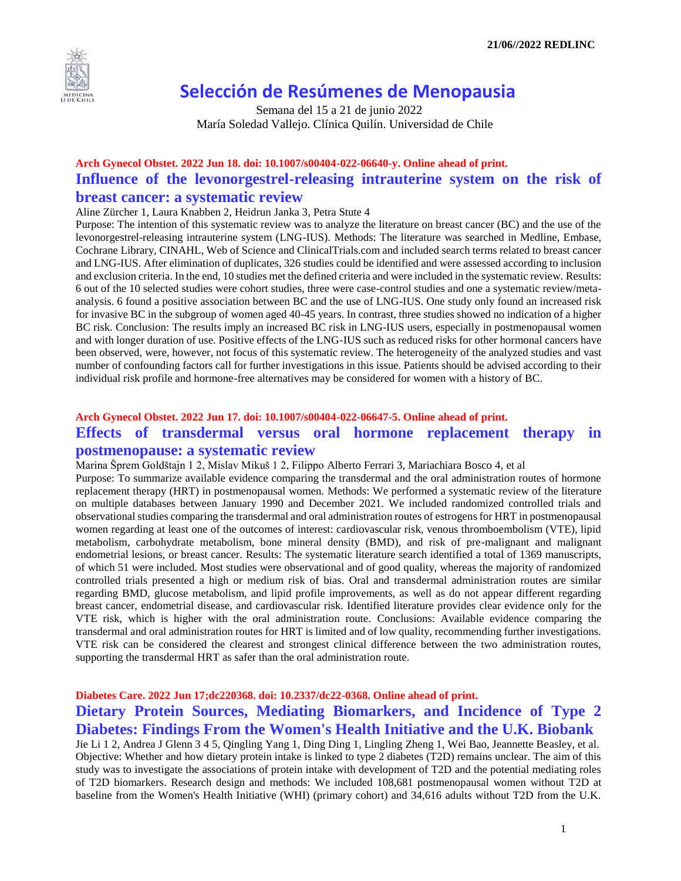

# **Selección de Resúmenes de Menopausia**

 Semana del 15 a 21 de junio 2022 María Soledad Vallejo. Clínica Quilín. Universidad de Chile

### **Arch Gynecol Obstet. 2022 Jun 18. doi: 10.1007/s00404-022-06640-y. Online ahead of print. Influence of the levonorgestrel-releasing intrauterine system on the risk of breast cancer: a systematic review**

Aline Zürcher 1, Laura Knabben 2, Heidrun Janka 3, Petra Stute 4

Purpose: The intention of this systematic review was to analyze the literature on breast cancer (BC) and the use of the levonorgestrel-releasing intrauterine system (LNG-IUS). Methods: The literature was searched in Medline, Embase, Cochrane Library, CINAHL, Web of Science and ClinicalTrials.com and included search terms related to breast cancer and LNG-IUS. After elimination of duplicates, 326 studies could be identified and were assessed according to inclusion and exclusion criteria. In the end, 10 studies met the defined criteria and were included in the systematic review. Results: 6 out of the 10 selected studies were cohort studies, three were case-control studies and one a systematic review/metaanalysis. 6 found a positive association between BC and the use of LNG-IUS. One study only found an increased risk for invasive BC in the subgroup of women aged 40-45 years. In contrast, three studies showed no indication of a higher BC risk. Conclusion: The results imply an increased BC risk in LNG-IUS users, especially in postmenopausal women and with longer duration of use. Positive effects of the LNG-IUS such as reduced risks for other hormonal cancers have been observed, were, however, not focus of this systematic review. The heterogeneity of the analyzed studies and vast number of confounding factors call for further investigations in this issue. Patients should be advised according to their individual risk profile and hormone-free alternatives may be considered for women with a history of BC.

### **Arch Gynecol Obstet. 2022 Jun 17. doi: 10.1007/s00404-022-06647-5. Online ahead of print. Effects of transdermal versus oral hormone replacement therapy in postmenopause: a systematic review**

Marina Šprem Goldštajn 1 2, Mislav Mikuš 1 2, Filippo Alberto Ferrari 3, Mariachiara Bosco 4, et al

Purpose: To summarize available evidence comparing the transdermal and the oral administration routes of hormone replacement therapy (HRT) in postmenopausal women. Methods: We performed a systematic review of the literature on multiple databases between January 1990 and December 2021. We included randomized controlled trials and observational studies comparing the transdermal and oral administration routes of estrogens for HRT in postmenopausal women regarding at least one of the outcomes of interest: cardiovascular risk, venous thromboembolism (VTE), lipid metabolism, carbohydrate metabolism, bone mineral density (BMD), and risk of pre-malignant and malignant endometrial lesions, or breast cancer. Results: The systematic literature search identified a total of 1369 manuscripts, of which 51 were included. Most studies were observational and of good quality, whereas the majority of randomized controlled trials presented a high or medium risk of bias. Oral and transdermal administration routes are similar regarding BMD, glucose metabolism, and lipid profile improvements, as well as do not appear different regarding breast cancer, endometrial disease, and cardiovascular risk. Identified literature provides clear evidence only for the VTE risk, which is higher with the oral administration route. Conclusions: Available evidence comparing the transdermal and oral administration routes for HRT is limited and of low quality, recommending further investigations. VTE risk can be considered the clearest and strongest clinical difference between the two administration routes, supporting the transdermal HRT as safer than the oral administration route.

### **Diabetes Care. 2022 Jun 17;dc220368. doi: 10.2337/dc22-0368. Online ahead of print. Dietary Protein Sources, Mediating Biomarkers, and Incidence of Type 2 Diabetes: Findings From the Women's Health Initiative and the U.K. Biobank**

Jie Li 1 2, Andrea J Glenn 3 4 5, Qingling Yang 1, Ding Ding 1, Lingling Zheng 1, Wei Bao, Jeannette Beasley, et al. Objective: Whether and how dietary protein intake is linked to type 2 diabetes (T2D) remains unclear. The aim of this study was to investigate the associations of protein intake with development of T2D and the potential mediating roles of T2D biomarkers. Research design and methods: We included 108,681 postmenopausal women without T2D at baseline from the Women's Health Initiative (WHI) (primary cohort) and 34,616 adults without T2D from the U.K.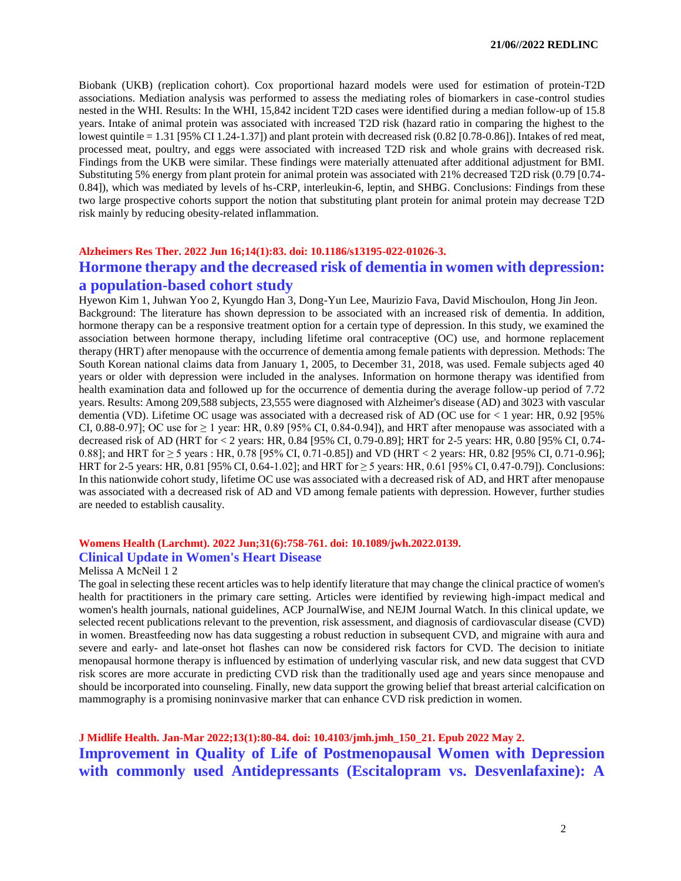Biobank (UKB) (replication cohort). Cox proportional hazard models were used for estimation of protein-T2D associations. Mediation analysis was performed to assess the mediating roles of biomarkers in case-control studies nested in the WHI. Results: In the WHI, 15,842 incident T2D cases were identified during a median follow-up of 15.8 years. Intake of animal protein was associated with increased T2D risk (hazard ratio in comparing the highest to the lowest quintile  $= 1.31$  [95% CI 1.24-1.37]) and plant protein with decreased risk (0.82 [0.78-0.86]). Intakes of red meat, processed meat, poultry, and eggs were associated with increased T2D risk and whole grains with decreased risk. Findings from the UKB were similar. These findings were materially attenuated after additional adjustment for BMI. Substituting 5% energy from plant protein for animal protein was associated with 21% decreased T2D risk (0.79 [0.74- 0.84]), which was mediated by levels of hs-CRP, interleukin-6, leptin, and SHBG. Conclusions: Findings from these two large prospective cohorts support the notion that substituting plant protein for animal protein may decrease T2D risk mainly by reducing obesity-related inflammation.

### **Alzheimers Res Ther. 2022 Jun 16;14(1):83. doi: 10.1186/s13195-022-01026-3. Hormone therapy and the decreased risk of dementia in women with depression: a population-based cohort study**

Hyewon Kim 1, Juhwan Yoo 2, Kyungdo Han 3, Dong-Yun Lee, Maurizio Fava, David Mischoulon, Hong Jin Jeon. Background: The literature has shown depression to be associated with an increased risk of dementia. In addition, hormone therapy can be a responsive treatment option for a certain type of depression. In this study, we examined the association between hormone therapy, including lifetime oral contraceptive (OC) use, and hormone replacement therapy (HRT) after menopause with the occurrence of dementia among female patients with depression. Methods: The South Korean national claims data from January 1, 2005, to December 31, 2018, was used. Female subjects aged 40 years or older with depression were included in the analyses. Information on hormone therapy was identified from health examination data and followed up for the occurrence of dementia during the average follow-up period of 7.72 years. Results: Among 209,588 subjects, 23,555 were diagnosed with Alzheimer's disease (AD) and 3023 with vascular dementia (VD). Lifetime OC usage was associated with a decreased risk of AD (OC use for  $<$  1 year: HR, 0.92 [95%] CI, 0.88-0.97]; OC use for  $\geq 1$  year: HR, 0.89 [95% CI, 0.84-0.94]), and HRT after menopause was associated with a decreased risk of AD (HRT for < 2 years: HR, 0.84 [95% CI, 0.79-0.89]; HRT for 2-5 years: HR, 0.80 [95% CI, 0.74- 0.88]; and HRT for  $\geq$  5 years : HR, 0.78 [95% CI, 0.71-0.85]) and VD (HRT < 2 years: HR, 0.82 [95% CI, 0.71-0.96]; HRT for 2-5 years: HR, 0.81 [95% CI, 0.64-1.02]; and HRT for ≥ 5 years: HR, 0.61 [95% CI, 0.47-0.79]). Conclusions: In this nationwide cohort study, lifetime OC use was associated with a decreased risk of AD, and HRT after menopause was associated with a decreased risk of AD and VD among female patients with depression. However, further studies are needed to establish causality.

### **Womens Health (Larchmt). 2022 Jun;31(6):758-761. doi: 10.1089/jwh.2022.0139. Clinical Update in Women's Heart Disease**

#### Melissa A McNeil 1 2

The goal in selecting these recent articles was to help identify literature that may change the clinical practice of women's health for practitioners in the primary care setting. Articles were identified by reviewing high-impact medical and women's health journals, national guidelines, ACP JournalWise, and NEJM Journal Watch. In this clinical update, we selected recent publications relevant to the prevention, risk assessment, and diagnosis of cardiovascular disease (CVD) in women. Breastfeeding now has data suggesting a robust reduction in subsequent CVD, and migraine with aura and severe and early- and late-onset hot flashes can now be considered risk factors for CVD. The decision to initiate menopausal hormone therapy is influenced by estimation of underlying vascular risk, and new data suggest that CVD risk scores are more accurate in predicting CVD risk than the traditionally used age and years since menopause and should be incorporated into counseling. Finally, new data support the growing belief that breast arterial calcification on mammography is a promising noninvasive marker that can enhance CVD risk prediction in women.

### **J Midlife Health. Jan-Mar 2022;13(1):80-84. doi: 10.4103/jmh.jmh\_150\_21. Epub 2022 May 2. Improvement in Quality of Life of Postmenopausal Women with Depression with commonly used Antidepressants (Escitalopram vs. Desvenlafaxine): A**